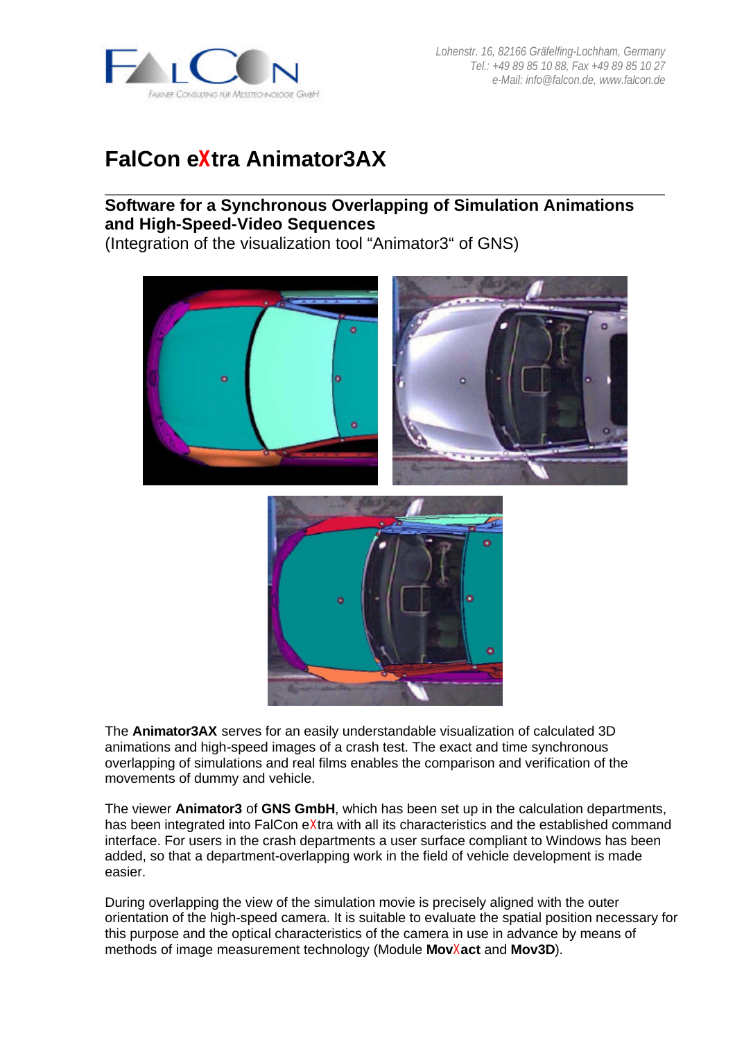

## **FalCon eXtra Animator3AX**

## **Software for a Synchronous Overlapping of Simulation Animations and High-Speed-Video Sequences**

(Integration of the visualization tool "Animator3" of GNS)





The **Animator3AX** serves for an easily understandable visualization of calculated 3D animations and high-speed images of a crash test. The exact and time synchronous overlapping of simulations and real films enables the comparison and verification of the movements of dummy and vehicle.

The viewer **Animator3** of **GNS GmbH**, which has been set up in the calculation departments, has been integrated into FalCon eXtra with all its characteristics and the established command interface. For users in the crash departments a user surface compliant to Windows has been added, so that a department-overlapping work in the field of vehicle development is made easier.

During overlapping the view of the simulation movie is precisely aligned with the outer orientation of the high-speed camera. It is suitable to evaluate the spatial position necessary for this purpose and the optical characteristics of the camera in use in advance by means of methods of image measurement technology (Module **Mov**X**act** and **Mov3D**).